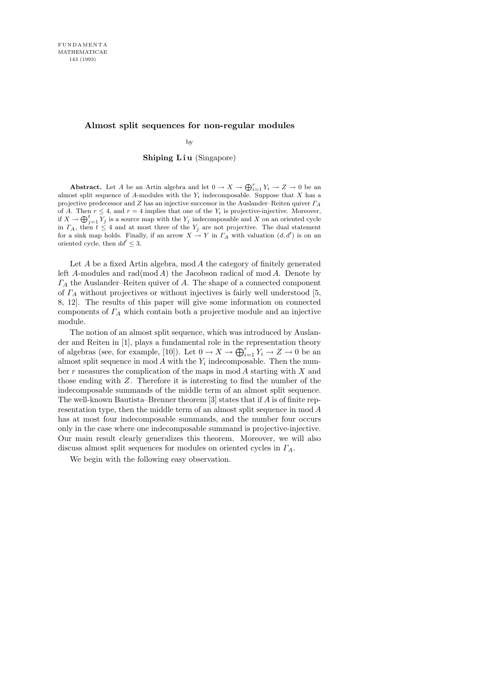## **Almost split sequences for non-regular modules**

by

## Shiping Liu (Singapore)

**Abstract.** Let *A* be an Artin algebra and let  $0 \to X \to \bigoplus_{i=1}^{r} Y_i \to Z \to 0$  be an almost split sequence of *A*-modules with the *Y<sup>i</sup>* indecomposable. Suppose that *X* has a projective predecessor and *Z* has an injective successor in the Auslander–Reiten quiver *Γ<sup>A</sup>* of *A*. Then  $r \leq 4$ , and  $r = 4$  implies that one of the  $Y_i$  is projective-injective. Moreover, if  $X \to \bigoplus_{j=1}^t \overline{Y}_j$  is a source map with the  $Y_j$  indecomposable and  $X$  on an oriented cycle in  $\Gamma_A$ , then  $t \leq 4$  and at most three of the  $Y_j$  are not projective. The dual statement for a sink map holds. Finally, if an arrow  $X \to Y$  in  $\overline{I}_A$  with valuation  $(d, d')$  is on an oriented cycle, then  $dd' \leq 3$ .

Let  $A$  be a fixed Artin algebra, mod  $A$  the category of finitely generated left A-modules and  $rad(mod A)$  the Jacobson radical of mod A. Denote by  $\Gamma_A$  the Auslander–Reiten quiver of A. The shape of a connected component of  $\Gamma_A$  without projectives or without injectives is fairly well understood [5, 8, 12]. The results of this paper will give some information on connected components of  $\Gamma_A$  which contain both a projective module and an injective module.

The notion of an almost split sequence, which was introduced by Auslander and Reiten in [1], plays a fundamental role in the representation theory of algebras (see, for example, [10]). Let  $0 \to X \to \bigoplus_{i=1}^r Y_i \to Z \to 0$  be an almost split sequence in  $mod A$  with the  $Y_i$  indecomposable. Then the number  $r$  measures the complication of the maps in mod  $A$  starting with  $X$  and those ending with Z. Therefore it is interesting to find the number of the indecomposable summands of the middle term of an almost split sequence. The well-known Bautista–Brenner theorem [3] states that if A is of finite representation type, then the middle term of an almost split sequence in mod A has at most four indecomposable summands, and the number four occurs only in the case where one indecomposable summand is projective-injective. Our main result clearly generalizes this theorem. Moreover, we will also discuss almost split sequences for modules on oriented cycles in  $\Gamma_A$ .

We begin with the following easy observation.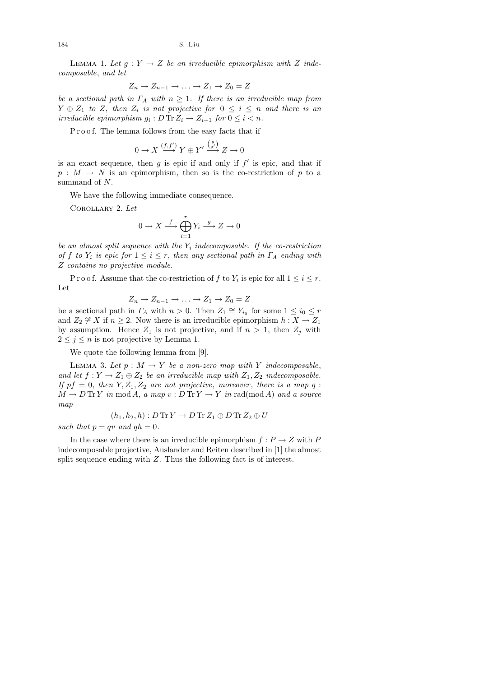LEMMA 1. Let  $g: Y \to Z$  be an irreducible epimorphism with Z indecomposable, and let

$$
Z_n \to Z_{n-1} \to \ldots \to Z_1 \to Z_0 = Z
$$

be a sectional path in  $\Gamma_A$  with  $n \geq 1$ . If there is an irreducible map from  $Y \oplus Z_1$  to Z, then  $Z_i$  is not projective for  $0 \leq i \leq n$  and there is an irreducible epimorphism  $g_i : D \text{ Tr } Z_i \to Z_{i+1}$  for  $0 \leq i < n$ .

Proof. The lemma follows from the easy facts that if

$$
0 \to X \xrightarrow{(f, f')} Y \oplus Y' \xrightarrow{\binom{g}{g'}} Z \to 0
$$

is an exact sequence, then  $g$  is epic if and only if  $f'$  is epic, and that if  $p : M \to N$  is an epimorphism, then so is the co-restriction of p to a summand of N.

We have the following immediate consequence.

Corollary 2. Let

$$
0 \to X \stackrel{f}{\longrightarrow} \bigoplus_{i=1}^r Y_i \stackrel{g}{\longrightarrow} Z \to 0
$$

be an almost split sequence with the  $Y_i$  indecomposable. If the co-restriction of f to  $Y_i$  is epic for  $1 \leq i \leq r$ , then any sectional path in  $\Gamma_A$  ending with Z contains no projective module.

P r o o f. Assume that the co-restriction of f to  $Y_i$  is epic for all  $1 \leq i \leq r$ . Let

$$
Z_n \to Z_{n-1} \to \ldots \to Z_1 \to Z_0 = Z
$$

be a sectional path in  $\Gamma_A$  with  $n > 0$ . Then  $Z_1 \cong Y_{i_0}$  for some  $1 \leq i_0 \leq r$ and  $Z_2 \not\cong X$  if  $n \geq 2$ . Now there is an irreducible epimorphism  $h : X \to Z_1$ by assumption. Hence  $Z_1$  is not projective, and if  $n > 1$ , then  $Z_i$  with  $2 \leq j \leq n$  is not projective by Lemma 1.

We quote the following lemma from [9].

LEMMA 3. Let  $p : M \to Y$  be a non-zero map with Y indecomposable, and let  $f: Y \to Z_1 \oplus Z_2$  be an irreducible map with  $Z_1, Z_2$  indecomposable. If  $pf = 0$ , then  $Y, Z_1, Z_2$  are not projective, moreover, there is a map q:  $M \to D \text{ Tr } Y$  in mod A, a map  $v : D \text{ Tr } Y \to Y$  in rad(mod A) and a source map

$$
(h_1, h_2, h): D \operatorname{Tr} Y \to D \operatorname{Tr} Z_1 \oplus D \operatorname{Tr} Z_2 \oplus U
$$

such that  $p = qv$  and  $qh = 0$ .

In the case where there is an irreducible epimorphism  $f: P \to Z$  with P indecomposable projective, Auslander and Reiten described in [1] the almost split sequence ending with Z. Thus the following fact is of interest.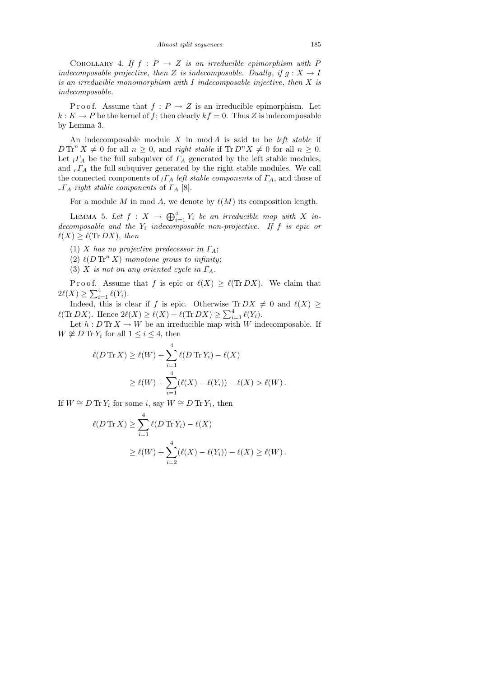COROLLARY 4. If  $f : P \rightarrow Z$  is an irreducible epimorphism with P indecomposable projective, then Z is indecomposable. Dually, if  $g: X \to I$ is an irreducible monomorphism with  $I$  indecomposable injective, then  $X$  is indecomposable.

P r o o f. Assume that  $f: P \to Z$  is an irreducible epimorphism. Let  $k: K \to P$  be the kernel of f; then clearly  $kf = 0$ . Thus Z is indecomposable by Lemma 3.

An indecomposable module  $X$  in mod  $A$  is said to be *left stable* if  $D \text{Tr}^{n} X \neq 0$  for all  $n \geq 0$ , and right stable if  $\text{Tr} D^{n} X \neq 0$  for all  $n \geq 0$ . Let  $_l\Gamma_A$  be the full subquiver of  $\Gamma_A$  generated by the left stable modules, and  $_r \Gamma_A$  the full subquiver generated by the right stable modules. We call the connected components of  $_l\Gamma_A$  left stable components of  $\Gamma_A$ , and those of  $r\Gamma_A$  right stable components of  $\Gamma_A$  [8].

For a module M in mod A, we denote by  $\ell(M)$  its composition length.

LEMMA 5. Let  $f: X \to \bigoplus_{i=1}^4 Y_i$  be an irreducible map with X indecomposable and the  $Y_i$  indecomposable non-projective. If f is epic or  $\ell(X) \geq \ell(\text{Tr }DX)$ , then

- (1) X has no projective predecessor in  $\Gamma_A$ ;
- (2)  $\ell(D \operatorname{Tr}^n X)$  monotone grows to infinity;
- (3) X is not on any oriented cycle in  $\Gamma_A$ .

P r o o f. Assume that f is epic or  $\ell(X) \geq \ell(\text{Tr }DX)$ . We claim that  $2\ell(X) \geq \sum_{i=1}^{4} \ell(Y_i).$ 

Indeed, this is clear if f is epic. Otherwise Tr  $DX \neq 0$  and  $\ell(X) \geq$  $\ell(\text{Tr }DX)$ . Hence  $2\ell(X) \geq \ell(X) + \ell(\text{Tr }DX) \geq \sum_{i=1}^{4} \ell(Y_i)$ .

Let  $h: D \text{Tr } X \to W$  be an irreducible map with W indecomposable. If  $W \not\cong D \operatorname{Tr} Y_i$  for all  $1 \leq i \leq 4$ , then

$$
\ell(D \operatorname{Tr} X) \ge \ell(W) + \sum_{i=1}^{4} \ell(D \operatorname{Tr} Y_i) - \ell(X)
$$
  
 
$$
\ge \ell(W) + \sum_{i=1}^{4} (\ell(X) - \ell(Y_i)) - \ell(X) > \ell(W).
$$

If  $W \cong D \operatorname{Tr} Y_i$  for some i, say  $W \cong D \operatorname{Tr} Y_1$ , then

$$
\ell(D \operatorname{Tr} X) \ge \sum_{i=1}^{4} \ell(D \operatorname{Tr} Y_i) - \ell(X)
$$
  
 
$$
\ge \ell(W) + \sum_{i=2}^{4} (\ell(X) - \ell(Y_i)) - \ell(X) \ge \ell(W).
$$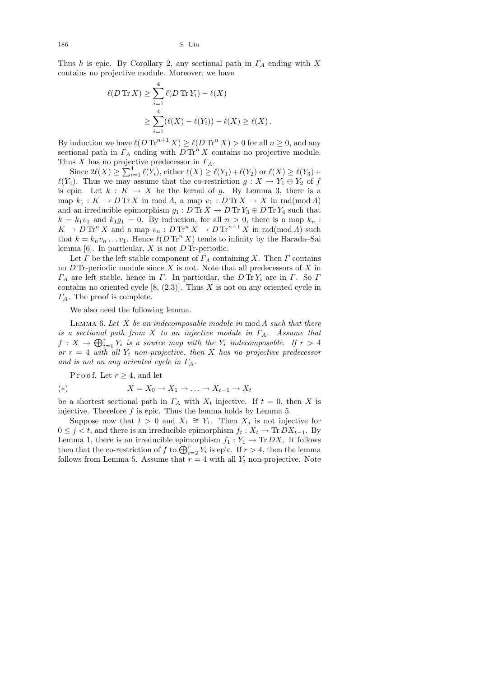Thus h is epic. By Corollary 2, any sectional path in  $\Gamma_A$  ending with X contains no projective module. Moreover, we have

$$
\ell(D \operatorname{Tr} X) \ge \sum_{i=1}^{4} \ell(D \operatorname{Tr} Y_i) - \ell(X)
$$
  
 
$$
\ge \sum_{i=1}^{4} (\ell(X) - \ell(Y_i)) - \ell(X) \ge \ell(X).
$$

By induction we have  $\ell(D \operatorname{Tr}^{n+1} X) \ge \ell(D \operatorname{Tr}^n X) > 0$  for all  $n \ge 0$ , and any sectional path in  $\Gamma_A$  ending with  $D \text{Tr}^n X$  contains no projective module. Thus X has no projective predecessor in  $\Gamma_A$ .

Since  $2\ell(X) \geq \sum_{i=1}^4 \ell(Y_i)$ , either  $\ell(X) \geq \ell(Y_1) + \ell(Y_2)$  or  $\ell(X) \geq \ell(Y_3)$ +  $\ell(Y_4)$ . Thus we may assume that the co-restriction  $g : X \to Y_1 \oplus Y_2$  of f is epic. Let  $k : K \to X$  be the kernel of g. By Lemma 3, there is a map  $k_1 : K \to D \text{Tr } X$  in mod A, a map  $v_1 : D \text{Tr } X \to X$  in rad(mod A) and an irreducible epimorphism  $g_1 : D \text{Tr} X \to D \text{Tr} Y_3 \oplus D \text{Tr} Y_4$  such that  $k = k_1v_1$  and  $k_1g_1 = 0$ . By induction, for all  $n > 0$ , there is a map  $k_n$ :  $K \to D \operatorname{Tr}^n X$  and a map  $v_n: D \operatorname{Tr}^n X \to D \operatorname{Tr}^{n-1} X$  in rad(mod A) such that  $k = k_n v_n \dots v_1$ . Hence  $\ell(D \operatorname{Tr}^n X)$  tends to infinity by the Harada–Sai lemma  $[6]$ . In particular, X is not D Tr-periodic.

Let  $\Gamma$  be the left stable component of  $\Gamma_A$  containing X. Then  $\Gamma$  contains no  $D$  Tr-periodic module since  $X$  is not. Note that all predecessors of  $X$  in  $\Gamma_A$  are left stable, hence in  $\Gamma$ . In particular, the  $D \text{Tr} Y_i$  are in  $\Gamma$ . So  $\Gamma$ contains no oriented cycle  $[8, (2.3)]$ . Thus X is not on any oriented cycle in  $\Gamma_A$ . The proof is complete.

We also need the following lemma.

LEMMA 6. Let  $X$  be an indecomposable module in  $mod A$  such that there is a sectional path from X to an injective module in  $\Gamma_A$ . Assume that  $f: X \to \bigoplus_{i=1}^r Y_i$  is a source map with the  $Y_i$  indecomposable. If  $r > 4$ or  $r = 4$  with all  $Y_i$  non-projective, then X has no projective predecessor and is not on any oriented cycle in  $\Gamma_A$ .

P r o o f. Let  $r \geq 4$ , and let

(\*) 
$$
X = X_0 \to X_1 \to \dots \to X_{t-1} \to X_t
$$

be a shortest sectional path in  $\Gamma_A$  with  $X_t$  injective. If  $t = 0$ , then X is injective. Therefore  $f$  is epic. Thus the lemma holds by Lemma 5.

Suppose now that  $t > 0$  and  $X_1 \cong Y_1$ . Then  $X_j$  is not injective for  $0 \leq j < t$ , and there is an irreducible epimorphism  $f_t: X_t \to \text{Tr } DX_{t-1}$ . By Lemma 1, there is an irreducible epimorphism  $f_1 : Y_1 \to \text{Tr } DX$ . It follows then that the co-restriction of f to  $\bigoplus_{i=2}^{r} Y_i$  is epic. If  $r > 4$ , then the lemma follows from Lemma 5. Assume that  $r = 4$  with all  $Y_i$  non-projective. Note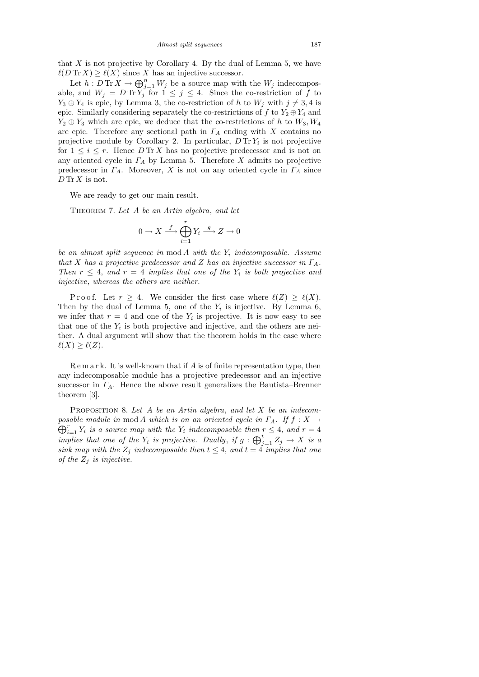that  $X$  is not projective by Corollary 4. By the dual of Lemma 5, we have  $\ell(D \text{Tr } X) \geq \ell(X)$  since X has an injective successor.

Let  $h: D \text{Tr } X \to \bigoplus_{j=1}^n W_j$  be a source map with the  $W_j$  indecomposable, and  $W_j = D \text{Tr} \overline{Y'_j}$  for  $1 \leq j \leq 4$ . Since the co-restriction of f to  $Y_3 \oplus Y_4$  is epic, by Lemma 3, the co-restriction of h to  $W_i$  with  $j \neq 3, 4$  is epic. Similarly considering separately the co-restrictions of f to  $Y_2 \oplus Y_4$  and  $Y_2 \oplus Y_3$  which are epic, we deduce that the co-restrictions of h to  $W_3, W_4$ are epic. Therefore any sectional path in  $\Gamma_A$  ending with X contains no projective module by Corollary 2. In particular,  $D \text{Tr} Y_i$  is not projective for  $1 \leq i \leq r$ . Hence  $D \text{Tr } X$  has no projective predecessor and is not on any oriented cycle in  $\Gamma_A$  by Lemma 5. Therefore X admits no projective predecessor in  $\Gamma_A$ . Moreover, X is not on any oriented cycle in  $\Gamma_A$  since  $D$  Tr  $X$  is not.

We are ready to get our main result.

THEOREM 7. Let A be an Artin algebra, and let

$$
0 \to X \xrightarrow{f} \bigoplus_{i=1}^r Y_i \xrightarrow{g} Z \to 0
$$

be an almost split sequence in  $mod A$  with the  $Y_i$  indecomposable. Assume that X has a projective predecessor and Z has an injective successor in  $\Gamma_A$ . Then  $r \leq 4$ , and  $r = 4$  implies that one of the  $Y_i$  is both projective and injective, whereas the others are neither.

Proof. Let  $r \geq 4$ . We consider the first case where  $\ell(Z) \geq \ell(X)$ . Then by the dual of Lemma 5, one of the  $Y_i$  is injective. By Lemma 6, we infer that  $r = 4$  and one of the  $Y_i$  is projective. It is now easy to see that one of the  $Y_i$  is both projective and injective, and the others are neither. A dual argument will show that the theorem holds in the case where  $\ell(X) \geq \ell(Z).$ 

 $R$  e m a r k. It is well-known that if  $A$  is of finite representation type, then any indecomposable module has a projective predecessor and an injective successor in  $\Gamma_A$ . Hence the above result generalizes the Bautista–Brenner theorem [3].

PROPOSITION 8. Let A be an Artin algebra, and let X be an indecom- $\bigoplus_{i=1}^r Y_i$  is a source map with the  $Y_i$  indecomposable then  $r \leq 4$ , and  $r = 4$ posable module in mod A which is on an oriented cycle in  $\Gamma_A$ . If  $f: X \to Y$ implies that one of the  $Y_i$  is projective. Dually, if  $g: \bigoplus_{j=1}^t Z_j \to X$  is a sink map with the  $Z_j$  indecomposable then  $t \leq 4$ , and  $t = 4$  implies that one of the  $Z_i$  is injective.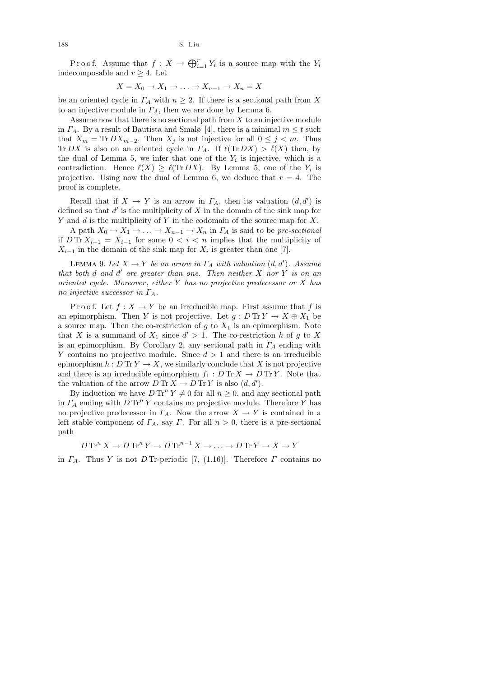Proof. Assume that  $f: X \to \bigoplus_{i=1}^r Y_i$  is a source map with the  $Y_i$ indecomposable and  $r \geq 4$ . Let

$$
X = X_0 \to X_1 \to \ldots \to X_{n-1} \to X_n = X
$$

be an oriented cycle in  $\Gamma_A$  with  $n \geq 2$ . If there is a sectional path from X to an injective module in  $\Gamma_A$ , then we are done by Lemma 6.

Assume now that there is no sectional path from  $X$  to an injective module in  $\Gamma_A$ . By a result of Bautista and Smalø [4], there is a minimal  $m \leq t$  such that  $X_m = \text{Tr } DX_{m-2}$ . Then  $X_j$  is not injective for all  $0 \leq j \leq m$ . Thus Tr DX is also on an oriented cycle in  $\Gamma_A$ . If  $\ell(\text{Tr }\,DX) > \ell(X)$  then, by the dual of Lemma 5, we infer that one of the  $Y_i$  is injective, which is a contradiction. Hence  $\ell(X) \geq \ell(\text{Tr }DX)$ . By Lemma 5, one of the  $Y_i$  is projective. Using now the dual of Lemma 6, we deduce that  $r = 4$ . The proof is complete.

Recall that if  $X \to Y$  is an arrow in  $\Gamma_A$ , then its valuation  $(d, d')$  is defined so that  $d'$  is the multiplicity of  $X$  in the domain of the sink map for Y and d is the multiplicity of Y in the codomain of the source map for  $X$ .

A path  $X_0 \to X_1 \to \ldots \to X_{n-1} \to X_n$  in  $\Gamma_A$  is said to be pre-sectional if  $D \text{Tr} X_{i+1} = X_{i-1}$  for some  $0 < i < n$  implies that the multiplicity of  $X_{i-1}$  in the domain of the sink map for  $X_i$  is greater than one [7].

LEMMA 9. Let  $X \to Y$  be an arrow in  $\Gamma_A$  with valuation  $(d, d')$ . Assume that both  $d$  and  $d'$  are greater than one. Then neither  $X$  nor  $Y$  is on an oriented cycle. Moreover, either  $Y$  has no projective predecessor or  $X$  has no injective successor in  $\Gamma_A$ .

P r o o f. Let  $f: X \to Y$  be an irreducible map. First assume that f is an epimorphism. Then Y is not projective. Let  $g: D \text{Tr} Y \to X \oplus X_1$  be a source map. Then the co-restriction of  $g$  to  $X_1$  is an epimorphism. Note that X is a summand of  $X_1$  since  $d' > 1$ . The co-restriction h of g to X is an epimorphism. By Corollary 2, any sectional path in  $\Gamma_A$  ending with Y contains no projective module. Since  $d > 1$  and there is an irreducible epimorphism  $h : D \text{Tr} Y \to X$ , we similarly conclude that X is not projective and there is an irreducible epimorphism  $f_1 : D \text{Tr} X \to D \text{Tr} Y$ . Note that the valuation of the arrow  $D \text{Tr} X \to D \text{Tr} Y$  is also  $(d, d')$ .

By induction we have  $D \text{Tr}^{n} Y \neq 0$  for all  $n \geq 0$ , and any sectional path in  $\Gamma_A$  ending with  $D \operatorname{Tr}^n Y$  contains no projective module. Therefore Y has no projective predecessor in  $\Gamma_A$ . Now the arrow  $X \to Y$  is contained in a left stable component of  $\Gamma_A$ , say  $\Gamma$ . For all  $n > 0$ , there is a pre-sectional path

$$
D \operatorname{Tr}^n X \to D \operatorname{Tr}^n Y \to D \operatorname{Tr}^{n-1} X \to \dots \to D \operatorname{Tr} Y \to X \to Y
$$

in  $\Gamma_A$ . Thus Y is not D Tr-periodic [7, (1.16)]. Therefore  $\Gamma$  contains no

188 S. Liu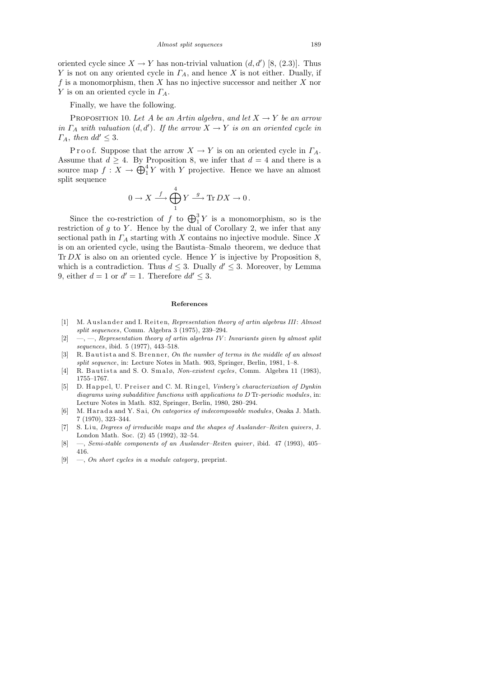oriented cycle since  $X \to Y$  has non-trivial valuation  $(d, d')$  [8, (2.3)]. Thus Y is not on any oriented cycle in  $\Gamma_A$ , and hence X is not either. Dually, if f is a monomorphism, then X has no injective successor and neither X nor Y is on an oriented cycle in  $\Gamma_A$ .

Finally, we have the following.

PROPOSITION 10. Let A be an Artin algebra, and let  $X \to Y$  be an arrow in  $\Gamma_A$  with valuation  $(d, d')$ . If the arrow  $X \to Y$  is on an oriented cycle in  $\Gamma_A$ , then  $dd' \leq 3$ .

P r o o f. Suppose that the arrow  $X \to Y$  is on an oriented cycle in  $\Gamma_A$ . Assume that  $d \geq 4$ . By Proposition 8, we infer that  $d = 4$  and there is a source map  $f: X \to \bigoplus_{1}^{4} Y$  with Y projective. Hence we have an almost split sequence

$$
0\to X\stackrel{f}\longrightarrow \bigoplus_1^4 Y\stackrel{g}\longrightarrow \text{Tr}\, D X\to 0\,.
$$

Since the co-restriction of f to  $\bigoplus_{1}^{3} Y$  is a monomorphism, so is the restriction of  $g$  to  $Y$ . Hence by the dual of Corollary 2, we infer that any sectional path in  $\Gamma_A$  starting with X contains no injective module. Since X is on an oriented cycle, using the Bautista–Smalø theorem, we deduce that  $Tr DX$  is also on an oriented cycle. Hence Y is injective by Proposition 8, which is a contradiction. Thus  $d \leq 3$ . Dually  $d' \leq 3$ . Moreover, by Lemma 9, either  $d = 1$  or  $d' = 1$ . Therefore  $dd' \leq 3$ .

### **References**

- [1] M. Auslander and I. Reiten, *Representation theory of artin algebras III*: *Almost split sequences*, Comm. Algebra 3 (1975), 239–294.
- [2] —, —, *Representation theory of artin algebras IV* : *Invariants given by almost split sequences*, ibid. 5 (1977), 443–518.
- [3] R. B autista and S. B r enner, *On the number of terms in the middle of an almost split sequence*, in: Lecture Notes in Math. 903, Springer, Berlin, 1981, 1–8.
- [4] R. Bautista and S. O. Smalø, *Non-existent cycles*, Comm. Algebra 11 (1983), 1755–1767.
- [5] D. Happel, U. Preiser and C. M. Ringel, *Vinberg's characterization of Dynkin diagrams using subadditive functions with applications to D* Tr*-periodic modules*, in: Lecture Notes in Math. 832, Springer, Berlin, 1980, 280–294.
- [6] M. H a r a d a and Y. S ai, *On categories of indecomposable modules*, Osaka J. Math. 7 (1970), 323–344.
- [7] S. Liu, *Degrees of irreducible maps and the shapes of Auslander–Reiten quivers*, J. London Math. Soc. (2) 45 (1992), 32–54.
- [8] —, *Semi-stable components of an Auslander–Reiten quiver*, ibid. 47 (1993), 405– 416.
- [9] —, *On short cycles in a module category*, preprint.